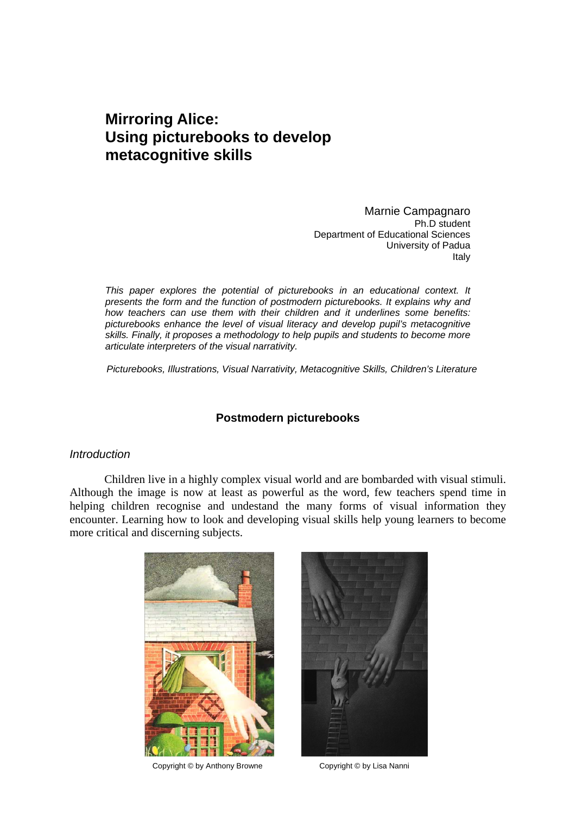# **Mirroring Alice: Using picturebooks to develop metacognitive skills**

Marnie Campagnaro Ph.D student Department of Educational Sciences University of Padua Italy

*This paper explores the potential of picturebooks in an educational context. It presents the form and the function of postmodern picturebooks. It explains why and how teachers can use them with their children and it underlines some benefits: picturebooks enhance the level of visual literacy and develop pupil's metacognitive skills. Finally, it proposes a methodology to help pupils and students to become more articulate interpreters of the visual narrativity.* 

 *Picturebooks, Illustrations, Visual Narrativity, Metacognitive Skills, Children's Literature* 

# **Postmodern picturebooks**

#### *Introduction*

 Children live in a highly complex visual world and are bombarded with visual stimuli. Although the image is now at least as powerful as the word, few teachers spend time in helping children recognise and undestand the many forms of visual information they encounter. Learning how to look and developing visual skills help young learners to become more critical and discerning subjects.



Copyright © by Anthony Browne Copyright © by Lisa Nanni

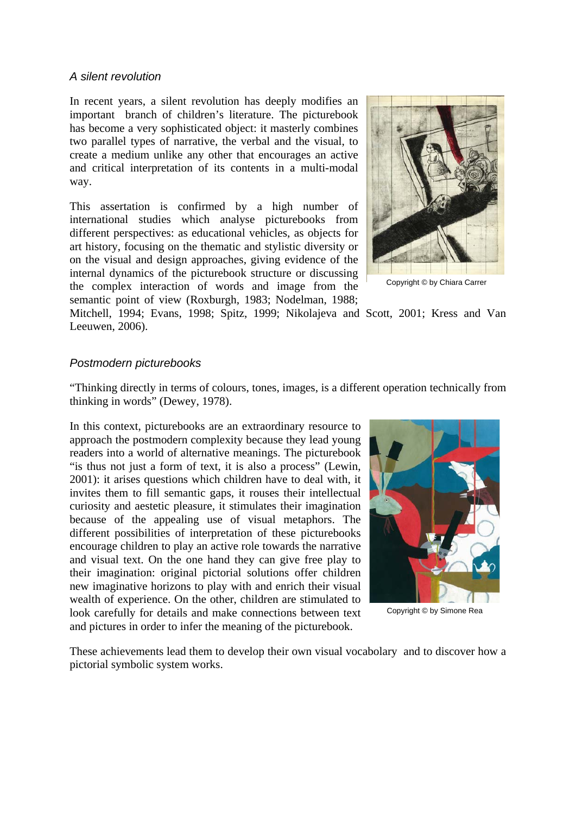## *A silent revolution*

In recent years, a silent revolution has deeply modifies an important branch of children's literature. The picturebook has become a very sophisticated object: it masterly combines two parallel types of narrative, the verbal and the visual, to create a medium unlike any other that encourages an active and critical interpretation of its contents in a multi-modal way.

This assertation is confirmed by a high number of international studies which analyse picturebooks from different perspectives: as educational vehicles, as objects for art history, focusing on the thematic and stylistic diversity or on the visual and design approaches, giving evidence of the internal dynamics of the picturebook structure or discussing the complex interaction of words and image from the semantic point of view (Roxburgh, 1983; Nodelman, 1988;



Copyright © by Chiara Carrer

Mitchell, 1994; Evans, 1998; Spitz, 1999; Nikolajeva and Scott, 2001; Kress and Van Leeuwen, 2006).

# *Postmodern picturebooks*

"Thinking directly in terms of colours, tones, images, is a different operation technically from thinking in words" (Dewey, 1978).

In this context, picturebooks are an extraordinary resource to approach the postmodern complexity because they lead young readers into a world of alternative meanings. The picturebook "is thus not just a form of text, it is also a process" (Lewin, 2001): it arises questions which children have to deal with, it invites them to fill semantic gaps, it rouses their intellectual curiosity and aestetic pleasure, it stimulates their imagination because of the appealing use of visual metaphors. The different possibilities of interpretation of these picturebooks encourage children to play an active role towards the narrative and visual text. On the one hand they can give free play to their imagination: original pictorial solutions offer children new imaginative horizons to play with and enrich their visual wealth of experience. On the other, children are stimulated to look carefully for details and make connections between text and pictures in order to infer the meaning of the picturebook.



Copyright © by Simone Rea

These achievements lead them to develop their own visual vocabolary and to discover how a pictorial symbolic system works.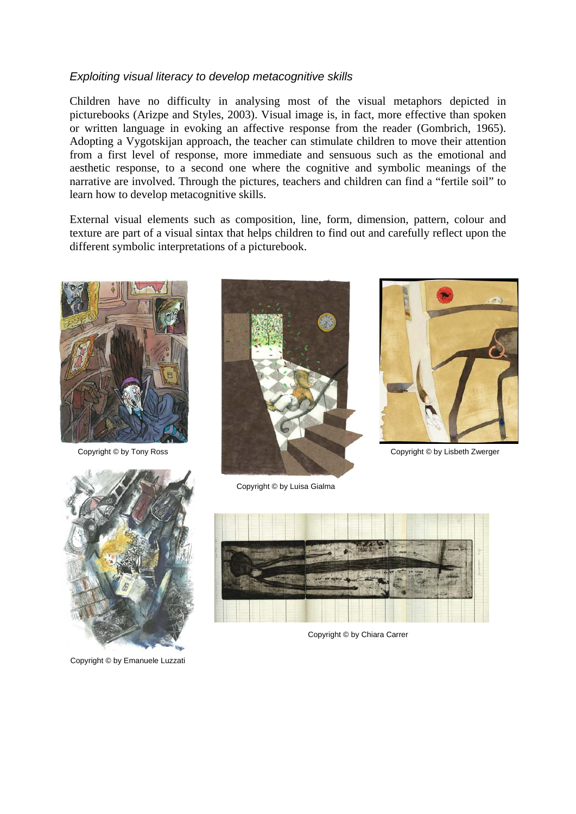# *Exploiting visual literacy to develop metacognitive skills*

Children have no difficulty in analysing most of the visual metaphors depicted in picturebooks (Arizpe and Styles, 2003). Visual image is, in fact, more effective than spoken or written language in evoking an affective response from the reader (Gombrich, 1965). Adopting a Vygotskijan approach, the teacher can stimulate children to move their attention from a first level of response, more immediate and sensuous such as the emotional and aesthetic response, to a second one where the cognitive and symbolic meanings of the narrative are involved. Through the pictures, teachers and children can find a "fertile soil" to learn how to develop metacognitive skills.

External visual elements such as composition, line, form, dimension, pattern, colour and texture are part of a visual sintax that helps children to find out and carefully reflect upon the different symbolic interpretations of a picturebook.



Copyright © by Tony Ross





Copyright © by Lisbeth Zwerger



Copyright © by Emanuele Luzzati



Copyright © by Chiara Carrer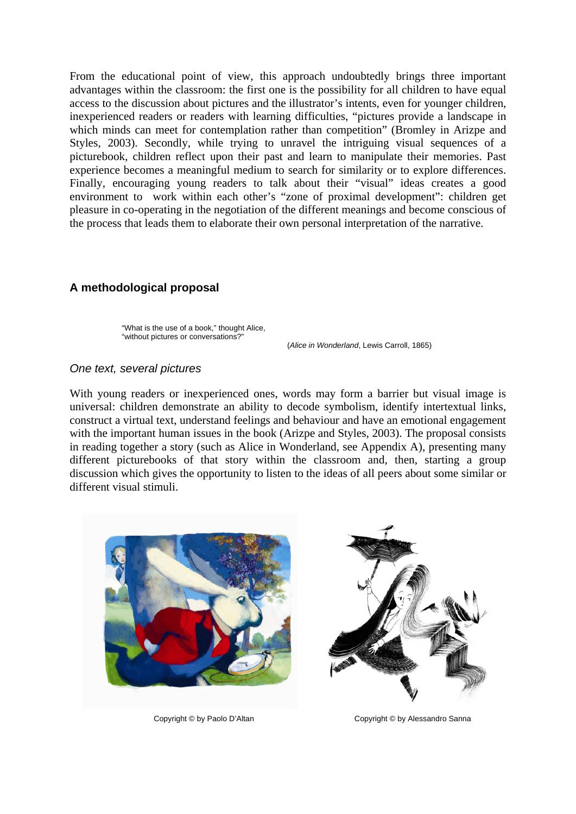From the educational point of view, this approach undoubtedly brings three important advantages within the classroom: the first one is the possibility for all children to have equal access to the discussion about pictures and the illustrator's intents, even for younger children, inexperienced readers or readers with learning difficulties, "pictures provide a landscape in which minds can meet for contemplation rather than competition" (Bromley in Arizpe and Styles, 2003). Secondly, while trying to unravel the intriguing visual sequences of a picturebook, children reflect upon their past and learn to manipulate their memories. Past experience becomes a meaningful medium to search for similarity or to explore differences. Finally, encouraging young readers to talk about their "visual" ideas creates a good environment to work within each other's "zone of proximal development": children get pleasure in co-operating in the negotiation of the different meanings and become conscious of the process that leads them to elaborate their own personal interpretation of the narrative.

# **A methodological proposal**

"What is the use of a book," thought Alice, "without pictures or conversations?"

(*Alice in Wonderland*, Lewis Carroll, 1865)

## *One text, several pictures*

With young readers or inexperienced ones, words may form a barrier but visual image is universal: children demonstrate an ability to decode symbolism, identify intertextual links, construct a virtual text, understand feelings and behaviour and have an emotional engagement with the important human issues in the book (Arizpe and Styles, 2003). The proposal consists in reading together a story (such as Alice in Wonderland, see Appendix A), presenting many different picturebooks of that story within the classroom and, then, starting a group discussion which gives the opportunity to listen to the ideas of all peers about some similar or different visual stimuli.



Copyright © by Paolo D'Altan Copyright © by Alessandro Sanna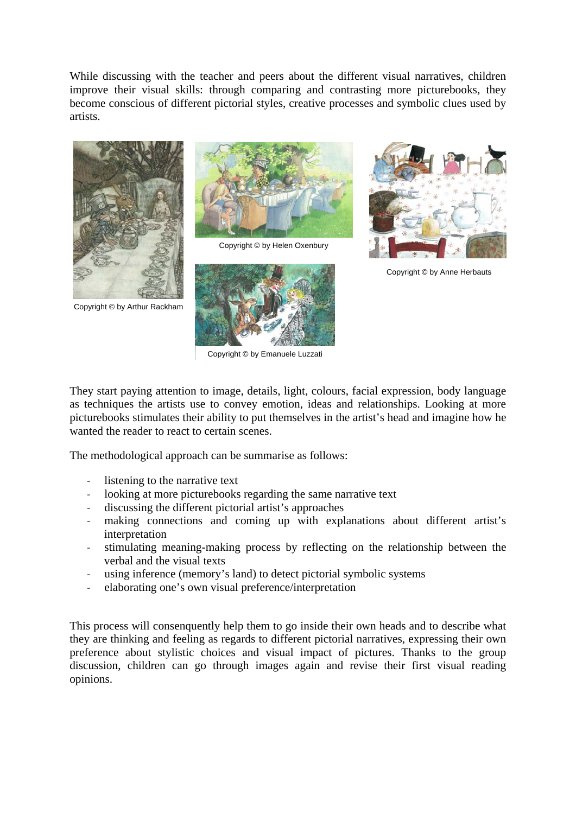While discussing with the teacher and peers about the different visual narratives, children improve their visual skills: through comparing and contrasting more picturebooks, they become conscious of different pictorial styles, creative processes and symbolic clues used by artists.



Copyright © by Arthur Rackham



Copyright © by Helen Oxenbury



Copyright © by Emanuele Luzzati



Copyright © by Anne Herbauts

They start paying attention to image, details, light, colours, facial expression, body language as techniques the artists use to convey emotion, ideas and relationships. Looking at more picturebooks stimulates their ability to put themselves in the artist's head and imagine how he wanted the reader to react to certain scenes.

The methodological approach can be summarise as follows:

- listening to the narrative text
- looking at more picturebooks regarding the same narrative text
- discussing the different pictorial artist's approaches
- making connections and coming up with explanations about different artist's interpretation
- stimulating meaning-making process by reflecting on the relationship between the verbal and the visual texts
- using inference (memory's land) to detect pictorial symbolic systems
- elaborating one's own visual preference/interpretation

This process will consenquently help them to go inside their own heads and to describe what they are thinking and feeling as regards to different pictorial narratives, expressing their own preference about stylistic choices and visual impact of pictures. Thanks to the group discussion, children can go through images again and revise their first visual reading opinions.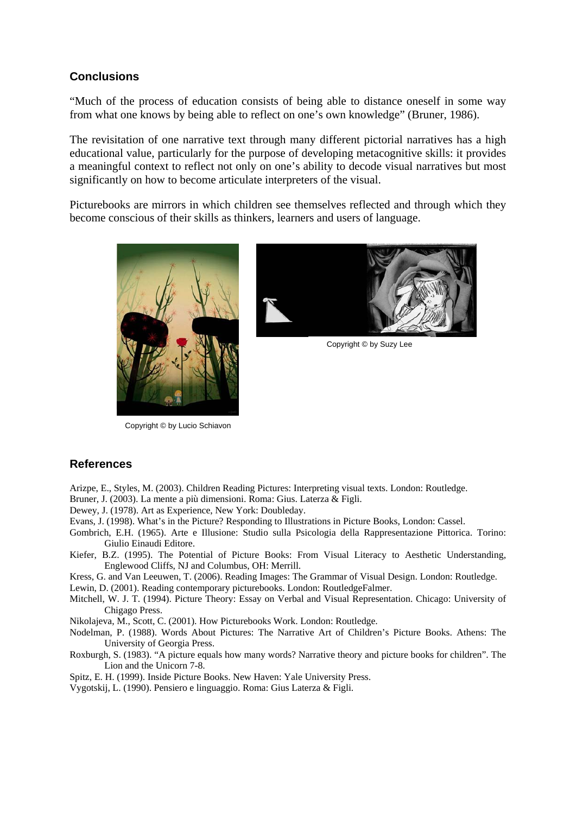## **Conclusions**

"Much of the process of education consists of being able to distance oneself in some way from what one knows by being able to reflect on one's own knowledge" (Bruner, 1986).

The revisitation of one narrative text through many different pictorial narratives has a high educational value, particularly for the purpose of developing metacognitive skills: it provides a meaningful context to reflect not only on one's ability to decode visual narratives but most significantly on how to become articulate interpreters of the visual.

Picturebooks are mirrors in which children see themselves reflected and through which they become conscious of their skills as thinkers, learners and users of language.





Copyright © by Suzy Lee

Copyright © by Lucio Schiavon

## **References**

Arizpe, E., Styles, M. (2003). Children Reading Pictures: Interpreting visual texts. London: Routledge.

Bruner, J. (2003). La mente a più dimensioni. Roma: Gius. Laterza & Figli.

Dewey, J. (1978). Art as Experience, New York: Doubleday.

- Evans, J. (1998). What's in the Picture? Responding to Illustrations in Picture Books, London: Cassel.
- Gombrich, E.H. (1965). Arte e Illusione: Studio sulla Psicologia della Rappresentazione Pittorica. Torino: Giulio Einaudi Editore.
- Kiefer, B.Z. (1995). The Potential of Picture Books: From Visual Literacy to Aesthetic Understanding, Englewood Cliffs, NJ and Columbus, OH: Merrill.

Kress, G. and Van Leeuwen, T. (2006). Reading Images: The Grammar of Visual Design. London: Routledge.

Lewin, D. (2001). Reading contemporary picturebooks. London: RoutledgeFalmer.

- Mitchell, W. J. T. (1994). Picture Theory: Essay on Verbal and Visual Representation. Chicago: University of Chigago Press.
- Nikolajeva, M., Scott, C. (2001). How Picturebooks Work. London: Routledge.
- Nodelman, P. (1988). Words About Pictures: The Narrative Art of Children's Picture Books. Athens: The University of Georgia Press.

Roxburgh, S. (1983). "A picture equals how many words? Narrative theory and picture books for children". The Lion and the Unicorn 7-8.

Spitz, E. H. (1999). Inside Picture Books. New Haven: Yale University Press.

Vygotskij, L. (1990). Pensiero e linguaggio. Roma: Gius Laterza & Figli.